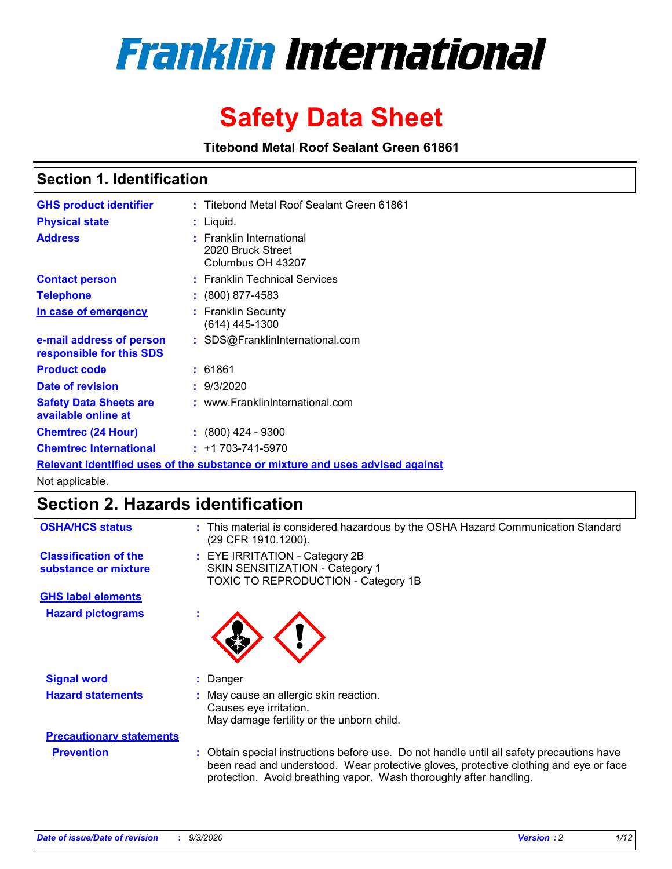

# **Safety Data Sheet**

**Titebond Metal Roof Sealant Green 61861**

### **Section 1. Identification**

| <b>GHS product identifier</b>                                                 |  | : Titebond Metal Roof Sealant Green 61861                               |  |  |  |
|-------------------------------------------------------------------------------|--|-------------------------------------------------------------------------|--|--|--|
| <b>Physical state</b>                                                         |  | $:$ Liquid.                                                             |  |  |  |
| <b>Address</b>                                                                |  | <b>Franklin International</b><br>2020 Bruck Street<br>Columbus OH 43207 |  |  |  |
| <b>Contact person</b>                                                         |  | : Franklin Technical Services                                           |  |  |  |
| <b>Telephone</b>                                                              |  | $\div$ (800) 877-4583                                                   |  |  |  |
| In case of emergency                                                          |  | : Franklin Security<br>(614) 445-1300                                   |  |  |  |
| e-mail address of person<br>responsible for this SDS                          |  | : SDS@FranklinInternational.com                                         |  |  |  |
| <b>Product code</b>                                                           |  | : 61861                                                                 |  |  |  |
| Date of revision                                                              |  | : 9/3/2020                                                              |  |  |  |
| <b>Safety Data Sheets are</b><br>available online at                          |  | : www.FranklinInternational.com                                         |  |  |  |
| <b>Chemtrec (24 Hour)</b>                                                     |  | $: (800)$ 424 - 9300                                                    |  |  |  |
| <b>Chemtrec International</b>                                                 |  | $: +1703 - 741 - 5970$                                                  |  |  |  |
| Relevant identified uses of the substance or mixture and uses advised against |  |                                                                         |  |  |  |

Not applicable.

### **Section 2. Hazards identification**

| <b>OSHA/HCS status</b>                               |    | : This material is considered hazardous by the OSHA Hazard Communication Standard<br>(29 CFR 1910.1200).                                                                                                                                                 |  |  |  |
|------------------------------------------------------|----|----------------------------------------------------------------------------------------------------------------------------------------------------------------------------------------------------------------------------------------------------------|--|--|--|
| <b>Classification of the</b><br>substance or mixture |    | : EYE IRRITATION - Category 2B<br>SKIN SENSITIZATION - Category 1<br>TOXIC TO REPRODUCTION - Category 1B                                                                                                                                                 |  |  |  |
| <b>GHS label elements</b>                            |    |                                                                                                                                                                                                                                                          |  |  |  |
| <b>Hazard pictograms</b>                             | ×. |                                                                                                                                                                                                                                                          |  |  |  |
| <b>Signal word</b>                                   | t. | Danger                                                                                                                                                                                                                                                   |  |  |  |
| <b>Hazard statements</b>                             |    | May cause an allergic skin reaction.<br>Causes eye irritation.<br>May damage fertility or the unborn child.                                                                                                                                              |  |  |  |
| <b>Precautionary statements</b>                      |    |                                                                                                                                                                                                                                                          |  |  |  |
| <b>Prevention</b>                                    |    | : Obtain special instructions before use. Do not handle until all safety precautions have<br>been read and understood. Wear protective gloves, protective clothing and eye or face<br>protection. Avoid breathing vapor. Wash thoroughly after handling. |  |  |  |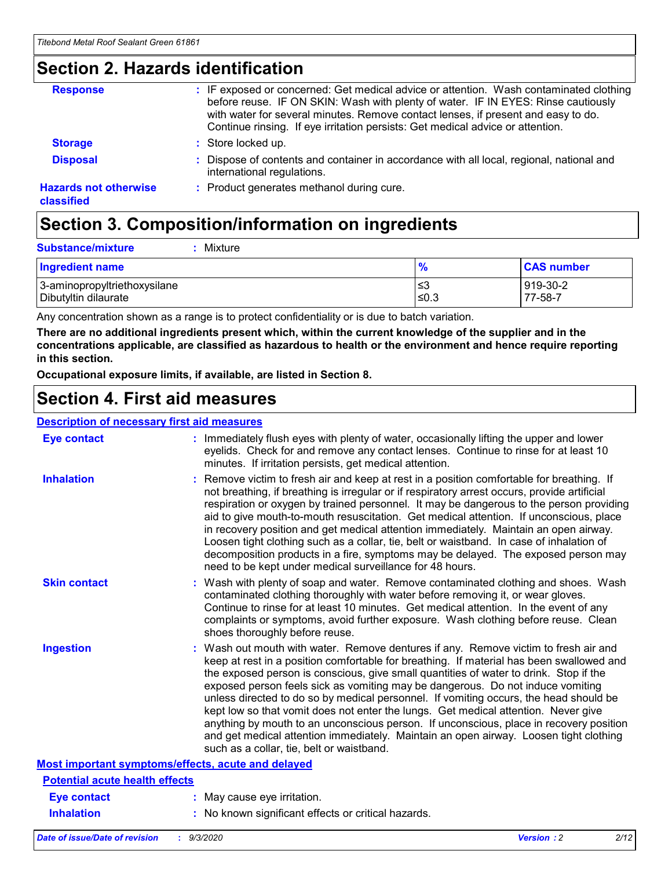### **Section 2. Hazards identification**

| <b>Response</b>                            | : IF exposed or concerned: Get medical advice or attention. Wash contaminated clothing<br>before reuse. IF ON SKIN: Wash with plenty of water. IF IN EYES: Rinse cautiously<br>with water for several minutes. Remove contact lenses, if present and easy to do.<br>Continue rinsing. If eye irritation persists: Get medical advice or attention. |
|--------------------------------------------|----------------------------------------------------------------------------------------------------------------------------------------------------------------------------------------------------------------------------------------------------------------------------------------------------------------------------------------------------|
| <b>Storage</b>                             | : Store locked up.                                                                                                                                                                                                                                                                                                                                 |
| <b>Disposal</b>                            | : Dispose of contents and container in accordance with all local, regional, national and<br>international regulations.                                                                                                                                                                                                                             |
| <b>Hazards not otherwise</b><br>classified | : Product generates methanol during cure.                                                                                                                                                                                                                                                                                                          |

# **Section 3. Composition/information on ingredients**

| <b>Ingredient name</b>       | $\frac{9}{6}$ | <b>CAS number</b> |
|------------------------------|---------------|-------------------|
| 3-aminopropyltriethoxysilane | ≤3            | 919-30-2          |
| Dibutyltin dilaurate         | ∣≤0.3         | 77-58-7           |

Any concentration shown as a range is to protect confidentiality or is due to batch variation.

**There are no additional ingredients present which, within the current knowledge of the supplier and in the concentrations applicable, are classified as hazardous to health or the environment and hence require reporting in this section.**

**Occupational exposure limits, if available, are listed in Section 8.**

### **Section 4. First aid measures**

| <b>Description of necessary first aid measures</b> |                                                                                                                                                                                                                                                                                                                                                                                                                                                                                                                                                                                                                                                                                                                                                                           |
|----------------------------------------------------|---------------------------------------------------------------------------------------------------------------------------------------------------------------------------------------------------------------------------------------------------------------------------------------------------------------------------------------------------------------------------------------------------------------------------------------------------------------------------------------------------------------------------------------------------------------------------------------------------------------------------------------------------------------------------------------------------------------------------------------------------------------------------|
| <b>Eye contact</b>                                 | : Immediately flush eyes with plenty of water, occasionally lifting the upper and lower<br>eyelids. Check for and remove any contact lenses. Continue to rinse for at least 10<br>minutes. If irritation persists, get medical attention.                                                                                                                                                                                                                                                                                                                                                                                                                                                                                                                                 |
| <b>Inhalation</b>                                  | : Remove victim to fresh air and keep at rest in a position comfortable for breathing. If<br>not breathing, if breathing is irregular or if respiratory arrest occurs, provide artificial<br>respiration or oxygen by trained personnel. It may be dangerous to the person providing<br>aid to give mouth-to-mouth resuscitation. Get medical attention. If unconscious, place<br>in recovery position and get medical attention immediately. Maintain an open airway.<br>Loosen tight clothing such as a collar, tie, belt or waistband. In case of inhalation of<br>decomposition products in a fire, symptoms may be delayed. The exposed person may<br>need to be kept under medical surveillance for 48 hours.                                                       |
| <b>Skin contact</b>                                | : Wash with plenty of soap and water. Remove contaminated clothing and shoes. Wash<br>contaminated clothing thoroughly with water before removing it, or wear gloves.<br>Continue to rinse for at least 10 minutes. Get medical attention. In the event of any<br>complaints or symptoms, avoid further exposure. Wash clothing before reuse. Clean<br>shoes thoroughly before reuse.                                                                                                                                                                                                                                                                                                                                                                                     |
| <b>Ingestion</b>                                   | : Wash out mouth with water. Remove dentures if any. Remove victim to fresh air and<br>keep at rest in a position comfortable for breathing. If material has been swallowed and<br>the exposed person is conscious, give small quantities of water to drink. Stop if the<br>exposed person feels sick as vomiting may be dangerous. Do not induce vomiting<br>unless directed to do so by medical personnel. If vomiting occurs, the head should be<br>kept low so that vomit does not enter the lungs. Get medical attention. Never give<br>anything by mouth to an unconscious person. If unconscious, place in recovery position<br>and get medical attention immediately. Maintain an open airway. Loosen tight clothing<br>such as a collar, tie, belt or waistband. |
| Most important symptoms/effects, acute and delayed |                                                                                                                                                                                                                                                                                                                                                                                                                                                                                                                                                                                                                                                                                                                                                                           |
| <b>Potential acute health effects</b>              |                                                                                                                                                                                                                                                                                                                                                                                                                                                                                                                                                                                                                                                                                                                                                                           |
| <b>Eye contact</b>                                 | : May cause eye irritation.                                                                                                                                                                                                                                                                                                                                                                                                                                                                                                                                                                                                                                                                                                                                               |
| <b>Inhalation</b>                                  | : No known significant effects or critical hazards.                                                                                                                                                                                                                                                                                                                                                                                                                                                                                                                                                                                                                                                                                                                       |
|                                                    |                                                                                                                                                                                                                                                                                                                                                                                                                                                                                                                                                                                                                                                                                                                                                                           |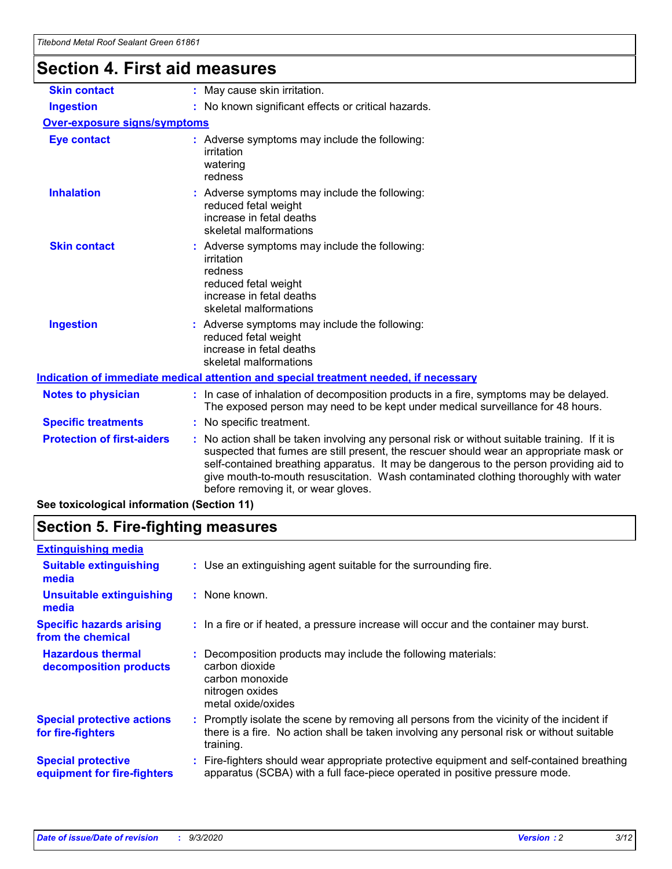# **Section 4. First aid measures**

| <b>Skin contact</b>                 |  | : May cause skin irritation.                                                                                                                                                                                                                                                                                                                                                                                    |  |  |  |
|-------------------------------------|--|-----------------------------------------------------------------------------------------------------------------------------------------------------------------------------------------------------------------------------------------------------------------------------------------------------------------------------------------------------------------------------------------------------------------|--|--|--|
| <b>Ingestion</b>                    |  | : No known significant effects or critical hazards.                                                                                                                                                                                                                                                                                                                                                             |  |  |  |
| <b>Over-exposure signs/symptoms</b> |  |                                                                                                                                                                                                                                                                                                                                                                                                                 |  |  |  |
| <b>Eye contact</b>                  |  | : Adverse symptoms may include the following:<br>irritation<br>watering<br>redness                                                                                                                                                                                                                                                                                                                              |  |  |  |
| <b>Inhalation</b>                   |  | : Adverse symptoms may include the following:<br>reduced fetal weight<br>increase in fetal deaths<br>skeletal malformations                                                                                                                                                                                                                                                                                     |  |  |  |
| <b>Skin contact</b>                 |  | : Adverse symptoms may include the following:<br>irritation<br>redness<br>reduced fetal weight<br>increase in fetal deaths<br>skeletal malformations                                                                                                                                                                                                                                                            |  |  |  |
| <b>Ingestion</b>                    |  | : Adverse symptoms may include the following:<br>reduced fetal weight<br>increase in fetal deaths<br>skeletal malformations                                                                                                                                                                                                                                                                                     |  |  |  |
|                                     |  | <u>Indication of immediate medical attention and special treatment needed, if necessary</u>                                                                                                                                                                                                                                                                                                                     |  |  |  |
| <b>Notes to physician</b>           |  | : In case of inhalation of decomposition products in a fire, symptoms may be delayed.<br>The exposed person may need to be kept under medical surveillance for 48 hours.                                                                                                                                                                                                                                        |  |  |  |
| <b>Specific treatments</b>          |  | : No specific treatment.                                                                                                                                                                                                                                                                                                                                                                                        |  |  |  |
| <b>Protection of first-aiders</b>   |  | : No action shall be taken involving any personal risk or without suitable training. If it is<br>suspected that fumes are still present, the rescuer should wear an appropriate mask or<br>self-contained breathing apparatus. It may be dangerous to the person providing aid to<br>give mouth-to-mouth resuscitation. Wash contaminated clothing thoroughly with water<br>before removing it, or wear gloves. |  |  |  |
|                                     |  |                                                                                                                                                                                                                                                                                                                                                                                                                 |  |  |  |

**See toxicological information (Section 11)**

### **Section 5. Fire-fighting measures**

| <b>Extinguishing media</b>                               |                                                                                                                                                                                                     |
|----------------------------------------------------------|-----------------------------------------------------------------------------------------------------------------------------------------------------------------------------------------------------|
| <b>Suitable extinguishing</b><br>media                   | : Use an extinguishing agent suitable for the surrounding fire.                                                                                                                                     |
| <b>Unsuitable extinguishing</b><br>media                 | $:$ None known.                                                                                                                                                                                     |
| <b>Specific hazards arising</b><br>from the chemical     | : In a fire or if heated, a pressure increase will occur and the container may burst.                                                                                                               |
| <b>Hazardous thermal</b><br>decomposition products       | Decomposition products may include the following materials:<br>carbon dioxide<br>carbon monoxide<br>nitrogen oxides<br>metal oxide/oxides                                                           |
| <b>Special protective actions</b><br>for fire-fighters   | : Promptly isolate the scene by removing all persons from the vicinity of the incident if<br>there is a fire. No action shall be taken involving any personal risk or without suitable<br>training. |
| <b>Special protective</b><br>equipment for fire-fighters | Fire-fighters should wear appropriate protective equipment and self-contained breathing<br>apparatus (SCBA) with a full face-piece operated in positive pressure mode.                              |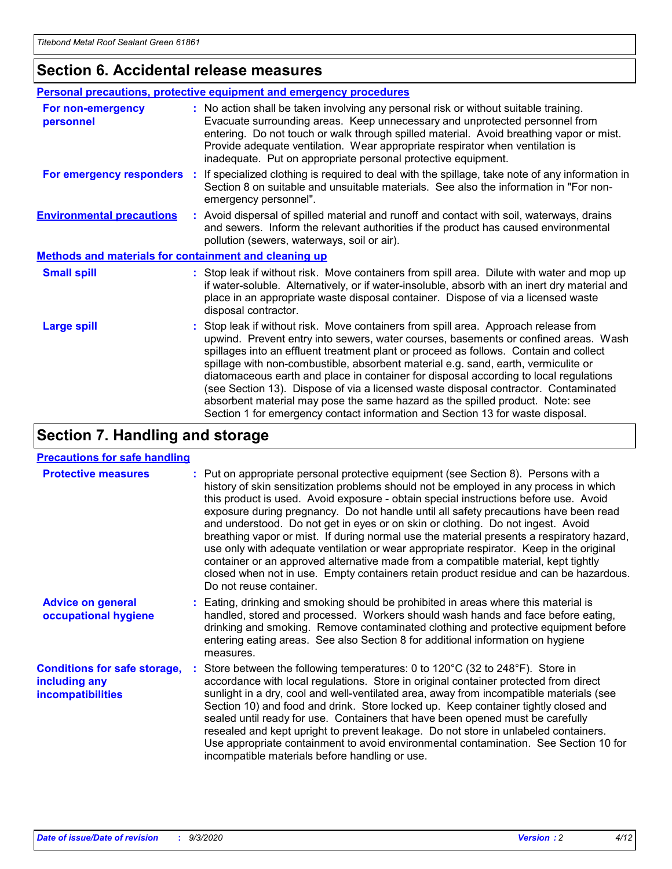### **Section 6. Accidental release measures**

|                                                              | <b>Personal precautions, protective equipment and emergency procedures</b>                                                                                                                                                                                                                                                                                                                                                                                                                                                                                                                                                                                                                                   |  |  |  |  |
|--------------------------------------------------------------|--------------------------------------------------------------------------------------------------------------------------------------------------------------------------------------------------------------------------------------------------------------------------------------------------------------------------------------------------------------------------------------------------------------------------------------------------------------------------------------------------------------------------------------------------------------------------------------------------------------------------------------------------------------------------------------------------------------|--|--|--|--|
| For non-emergency<br>personnel                               | : No action shall be taken involving any personal risk or without suitable training.<br>Evacuate surrounding areas. Keep unnecessary and unprotected personnel from<br>entering. Do not touch or walk through spilled material. Avoid breathing vapor or mist.<br>Provide adequate ventilation. Wear appropriate respirator when ventilation is<br>inadequate. Put on appropriate personal protective equipment.                                                                                                                                                                                                                                                                                             |  |  |  |  |
| For emergency responders                                     | : If specialized clothing is required to deal with the spillage, take note of any information in<br>Section 8 on suitable and unsuitable materials. See also the information in "For non-<br>emergency personnel".                                                                                                                                                                                                                                                                                                                                                                                                                                                                                           |  |  |  |  |
| <b>Environmental precautions</b>                             | : Avoid dispersal of spilled material and runoff and contact with soil, waterways, drains<br>and sewers. Inform the relevant authorities if the product has caused environmental<br>pollution (sewers, waterways, soil or air).                                                                                                                                                                                                                                                                                                                                                                                                                                                                              |  |  |  |  |
| <b>Methods and materials for containment and cleaning up</b> |                                                                                                                                                                                                                                                                                                                                                                                                                                                                                                                                                                                                                                                                                                              |  |  |  |  |
| <b>Small spill</b>                                           | : Stop leak if without risk. Move containers from spill area. Dilute with water and mop up<br>if water-soluble. Alternatively, or if water-insoluble, absorb with an inert dry material and<br>place in an appropriate waste disposal container. Dispose of via a licensed waste<br>disposal contractor.                                                                                                                                                                                                                                                                                                                                                                                                     |  |  |  |  |
| <b>Large spill</b>                                           | : Stop leak if without risk. Move containers from spill area. Approach release from<br>upwind. Prevent entry into sewers, water courses, basements or confined areas. Wash<br>spillages into an effluent treatment plant or proceed as follows. Contain and collect<br>spillage with non-combustible, absorbent material e.g. sand, earth, vermiculite or<br>diatomaceous earth and place in container for disposal according to local regulations<br>(see Section 13). Dispose of via a licensed waste disposal contractor. Contaminated<br>absorbent material may pose the same hazard as the spilled product. Note: see<br>Section 1 for emergency contact information and Section 13 for waste disposal. |  |  |  |  |

### **Section 7. Handling and storage**

#### **Precautions for safe handling**

| <b>Protective measures</b>                                                       | : Put on appropriate personal protective equipment (see Section 8). Persons with a<br>history of skin sensitization problems should not be employed in any process in which<br>this product is used. Avoid exposure - obtain special instructions before use. Avoid<br>exposure during pregnancy. Do not handle until all safety precautions have been read<br>and understood. Do not get in eyes or on skin or clothing. Do not ingest. Avoid<br>breathing vapor or mist. If during normal use the material presents a respiratory hazard,<br>use only with adequate ventilation or wear appropriate respirator. Keep in the original<br>container or an approved alternative made from a compatible material, kept tightly<br>closed when not in use. Empty containers retain product residue and can be hazardous.<br>Do not reuse container. |
|----------------------------------------------------------------------------------|--------------------------------------------------------------------------------------------------------------------------------------------------------------------------------------------------------------------------------------------------------------------------------------------------------------------------------------------------------------------------------------------------------------------------------------------------------------------------------------------------------------------------------------------------------------------------------------------------------------------------------------------------------------------------------------------------------------------------------------------------------------------------------------------------------------------------------------------------|
| <b>Advice on general</b><br>occupational hygiene                                 | : Eating, drinking and smoking should be prohibited in areas where this material is<br>handled, stored and processed. Workers should wash hands and face before eating,<br>drinking and smoking. Remove contaminated clothing and protective equipment before<br>entering eating areas. See also Section 8 for additional information on hygiene<br>measures.                                                                                                                                                                                                                                                                                                                                                                                                                                                                                    |
| <b>Conditions for safe storage,</b><br>including any<br><i>incompatibilities</i> | Store between the following temperatures: 0 to 120°C (32 to 248°F). Store in<br>accordance with local regulations. Store in original container protected from direct<br>sunlight in a dry, cool and well-ventilated area, away from incompatible materials (see<br>Section 10) and food and drink. Store locked up. Keep container tightly closed and<br>sealed until ready for use. Containers that have been opened must be carefully<br>resealed and kept upright to prevent leakage. Do not store in unlabeled containers.<br>Use appropriate containment to avoid environmental contamination. See Section 10 for<br>incompatible materials before handling or use.                                                                                                                                                                         |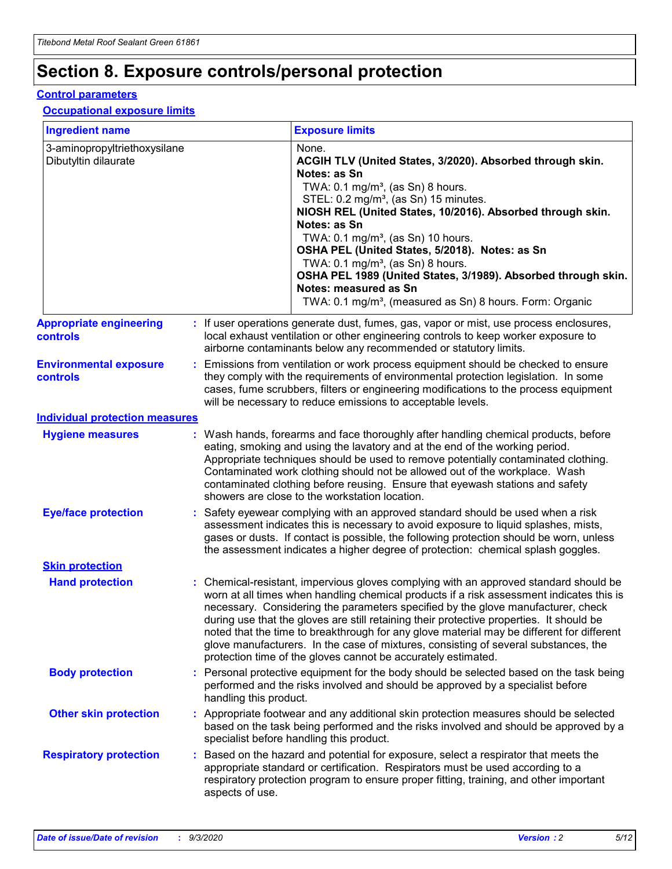# **Section 8. Exposure controls/personal protection**

#### **Control parameters**

#### **Occupational exposure limits**

| <b>Ingredient name</b>                               |    |                        | <b>Exposure limits</b>                                                                                                                                                                                                                                                                                                                                                                                                                                                                                                                                                                                                 |
|------------------------------------------------------|----|------------------------|------------------------------------------------------------------------------------------------------------------------------------------------------------------------------------------------------------------------------------------------------------------------------------------------------------------------------------------------------------------------------------------------------------------------------------------------------------------------------------------------------------------------------------------------------------------------------------------------------------------------|
| 3-aminopropyltriethoxysilane<br>Dibutyltin dilaurate |    |                        | None.<br>ACGIH TLV (United States, 3/2020). Absorbed through skin.<br>Notes: as Sn<br>TWA: $0.1 \text{ mg/m}^3$ , (as Sn) 8 hours.<br>STEL: 0.2 mg/m <sup>3</sup> , (as Sn) 15 minutes.<br>NIOSH REL (United States, 10/2016). Absorbed through skin.<br>Notes: as Sn<br>TWA: 0.1 mg/m <sup>3</sup> , (as Sn) 10 hours.<br>OSHA PEL (United States, 5/2018). Notes: as Sn<br>TWA: $0.1 \text{ mg/m}^3$ , (as Sn) 8 hours.<br>OSHA PEL 1989 (United States, 3/1989). Absorbed through skin.<br>Notes: measured as Sn<br>TWA: 0.1 mg/m <sup>3</sup> , (measured as Sn) 8 hours. Form: Organic                            |
| <b>Appropriate engineering</b><br>controls           |    |                        | : If user operations generate dust, fumes, gas, vapor or mist, use process enclosures,<br>local exhaust ventilation or other engineering controls to keep worker exposure to<br>airborne contaminants below any recommended or statutory limits.                                                                                                                                                                                                                                                                                                                                                                       |
| <b>Environmental exposure</b><br>controls            |    |                        | Emissions from ventilation or work process equipment should be checked to ensure<br>they comply with the requirements of environmental protection legislation. In some<br>cases, fume scrubbers, filters or engineering modifications to the process equipment<br>will be necessary to reduce emissions to acceptable levels.                                                                                                                                                                                                                                                                                          |
| <b>Individual protection measures</b>                |    |                        |                                                                                                                                                                                                                                                                                                                                                                                                                                                                                                                                                                                                                        |
| <b>Hygiene measures</b>                              |    |                        | : Wash hands, forearms and face thoroughly after handling chemical products, before<br>eating, smoking and using the lavatory and at the end of the working period.<br>Appropriate techniques should be used to remove potentially contaminated clothing.<br>Contaminated work clothing should not be allowed out of the workplace. Wash<br>contaminated clothing before reusing. Ensure that eyewash stations and safety<br>showers are close to the workstation location.                                                                                                                                            |
| <b>Eye/face protection</b>                           |    |                        | : Safety eyewear complying with an approved standard should be used when a risk<br>assessment indicates this is necessary to avoid exposure to liquid splashes, mists,<br>gases or dusts. If contact is possible, the following protection should be worn, unless<br>the assessment indicates a higher degree of protection: chemical splash goggles.                                                                                                                                                                                                                                                                  |
| <b>Skin protection</b>                               |    |                        |                                                                                                                                                                                                                                                                                                                                                                                                                                                                                                                                                                                                                        |
| <b>Hand protection</b>                               |    |                        | : Chemical-resistant, impervious gloves complying with an approved standard should be<br>worn at all times when handling chemical products if a risk assessment indicates this is<br>necessary. Considering the parameters specified by the glove manufacturer, check<br>during use that the gloves are still retaining their protective properties. It should be<br>noted that the time to breakthrough for any glove material may be different for different<br>glove manufacturers. In the case of mixtures, consisting of several substances, the<br>protection time of the gloves cannot be accurately estimated. |
| <b>Body protection</b>                               |    | handling this product. | Personal protective equipment for the body should be selected based on the task being<br>performed and the risks involved and should be approved by a specialist before                                                                                                                                                                                                                                                                                                                                                                                                                                                |
| <b>Other skin protection</b>                         |    |                        | : Appropriate footwear and any additional skin protection measures should be selected<br>based on the task being performed and the risks involved and should be approved by a<br>specialist before handling this product.                                                                                                                                                                                                                                                                                                                                                                                              |
| <b>Respiratory protection</b>                        | ÷. | aspects of use.        | Based on the hazard and potential for exposure, select a respirator that meets the<br>appropriate standard or certification. Respirators must be used according to a<br>respiratory protection program to ensure proper fitting, training, and other important                                                                                                                                                                                                                                                                                                                                                         |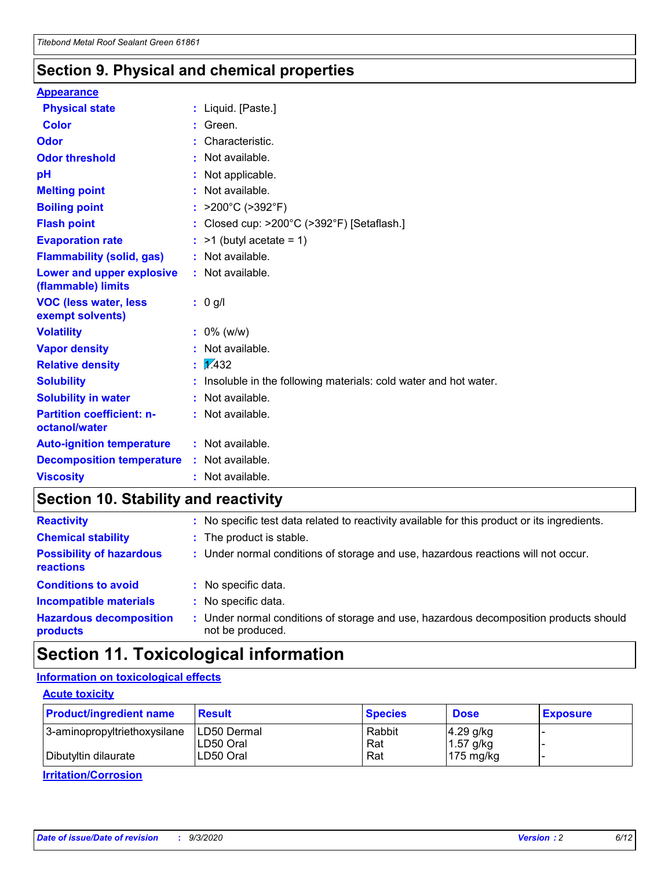### **Section 9. Physical and chemical properties**

#### **Appearance**

| <b>Physical state</b>                             | : Liquid. [Paste.]                                              |
|---------------------------------------------------|-----------------------------------------------------------------|
| Color                                             | Green.                                                          |
| Odor                                              | : Characteristic.                                               |
| <b>Odor threshold</b>                             | $:$ Not available.                                              |
| рH                                                | : Not applicable.                                               |
| <b>Melting point</b>                              | : Not available.                                                |
| <b>Boiling point</b>                              | : $>200^{\circ}$ C ( $>392^{\circ}$ F)                          |
| <b>Flash point</b>                                | : Closed cup: $>200^{\circ}$ C ( $>392^{\circ}$ F) [Setaflash.] |
| <b>Evaporation rate</b>                           | $:$ >1 (butyl acetate = 1)                                      |
| <b>Flammability (solid, gas)</b>                  | : Not available.                                                |
| Lower and upper explosive<br>(flammable) limits   | $:$ Not available.                                              |
| <b>VOC (less water, less</b><br>exempt solvents)  | : 0 g/l                                                         |
| <b>Volatility</b>                                 | $: 0\%$ (w/w)                                                   |
| <b>Vapor density</b>                              | : Not available.                                                |
| <b>Relative density</b>                           | $\frac{1}{2}$ $\frac{1}{432}$                                   |
| <b>Solubility</b>                                 | Insoluble in the following materials: cold water and hot water. |
| <b>Solubility in water</b>                        | : Not available.                                                |
| <b>Partition coefficient: n-</b><br>octanol/water | $:$ Not available.                                              |
| <b>Auto-ignition temperature</b>                  | : Not available.                                                |
| <b>Decomposition temperature</b>                  | : Not available.                                                |
| <b>Viscosity</b>                                  | : Not available.                                                |

### **Section 10. Stability and reactivity**

| <b>Reactivity</b>                            |    | : No specific test data related to reactivity available for this product or its ingredients.            |
|----------------------------------------------|----|---------------------------------------------------------------------------------------------------------|
| <b>Chemical stability</b>                    |    | : The product is stable.                                                                                |
| <b>Possibility of hazardous</b><br>reactions |    | : Under normal conditions of storage and use, hazardous reactions will not occur.                       |
| <b>Conditions to avoid</b>                   |    | : No specific data.                                                                                     |
| <b>Incompatible materials</b>                |    | : No specific data.                                                                                     |
| <b>Hazardous decomposition</b><br>products   | ÷. | Under normal conditions of storage and use, hazardous decomposition products should<br>not be produced. |

### **Section 11. Toxicological information**

#### **Information on toxicological effects**

#### **Acute toxicity**

| <b>Product/ingredient name</b> | <b>Result</b>           | <b>Species</b> | <b>Dose</b>                | <b>Exposure</b> |
|--------------------------------|-------------------------|----------------|----------------------------|-----------------|
| 3-aminopropyltriethoxysilane   | <b>ILD50 Dermal</b>     | Rabbit         | 4.29 g/kg                  |                 |
| Dibutyltin dilaurate           | ILD50 Oral<br>LD50 Oral | Rat<br>Rat     | $1.57$ g/kg<br>175 $mg/kg$ |                 |
|                                |                         |                |                            |                 |

**Irritation/Corrosion**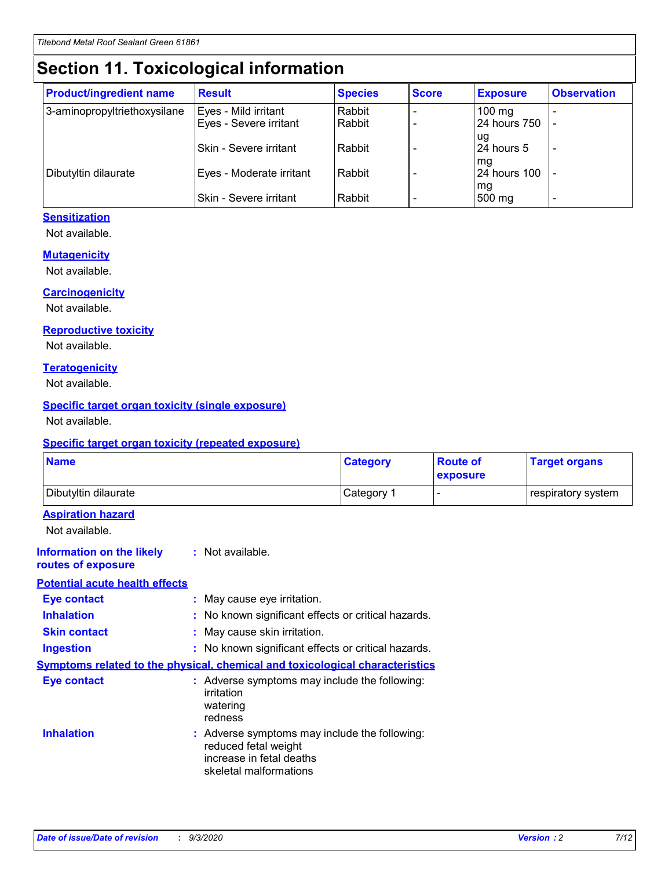# **Section 11. Toxicological information**

| <b>Product/ingredient name</b> | <b>Result</b>            | <b>Species</b> | <b>Score</b> | <b>Exposure</b>     | <b>Observation</b> |
|--------------------------------|--------------------------|----------------|--------------|---------------------|--------------------|
| 3-aminopropyltriethoxysilane   | Eyes - Mild irritant     | Rabbit         |              | $100 \text{ mg}$    |                    |
|                                | Eyes - Severe irritant   | Rabbit         |              | 24 hours 750        |                    |
|                                |                          |                |              | ug                  |                    |
|                                | Skin - Severe irritant   | Rabbit         |              | 24 hours 5          |                    |
|                                |                          |                |              | mq                  |                    |
| Dibutyltin dilaurate           | Eyes - Moderate irritant | Rabbit         |              | <b>24 hours 100</b> |                    |
|                                | Skin - Severe irritant   | Rabbit         |              | mg<br>500 mg        |                    |
|                                |                          |                |              |                     |                    |

#### **Sensitization**

Not available.

#### **Mutagenicity**

Not available.

#### **Carcinogenicity**

Not available.

#### **Reproductive toxicity**

Not available.

#### **Teratogenicity**

Not available.

#### **Specific target organ toxicity (single exposure)**

Not available.

#### **Specific target organ toxicity (repeated exposure)**

| <b>Name</b>                                                                  |                                                                                                                             | <b>Category</b> | <b>Route of</b><br>exposure  | <b>Target organs</b> |
|------------------------------------------------------------------------------|-----------------------------------------------------------------------------------------------------------------------------|-----------------|------------------------------|----------------------|
| Dibutyltin dilaurate                                                         |                                                                                                                             | Category 1      | $\qquad \qquad \blacksquare$ | respiratory system   |
| <b>Aspiration hazard</b><br>Not available.                                   |                                                                                                                             |                 |                              |                      |
| <b>Information on the likely</b><br>routes of exposure                       | : Not available.                                                                                                            |                 |                              |                      |
| <b>Potential acute health effects</b>                                        |                                                                                                                             |                 |                              |                      |
| <b>Eye contact</b>                                                           | : May cause eye irritation.                                                                                                 |                 |                              |                      |
| <b>Inhalation</b>                                                            | : No known significant effects or critical hazards.                                                                         |                 |                              |                      |
| <b>Skin contact</b>                                                          | : May cause skin irritation.                                                                                                |                 |                              |                      |
| <b>Ingestion</b>                                                             | : No known significant effects or critical hazards.                                                                         |                 |                              |                      |
| Symptoms related to the physical, chemical and toxicological characteristics |                                                                                                                             |                 |                              |                      |
| <b>Eye contact</b>                                                           | : Adverse symptoms may include the following:<br>irritation<br>watering<br>redness                                          |                 |                              |                      |
| <b>Inhalation</b>                                                            | : Adverse symptoms may include the following:<br>reduced fetal weight<br>increase in fetal deaths<br>skeletal malformations |                 |                              |                      |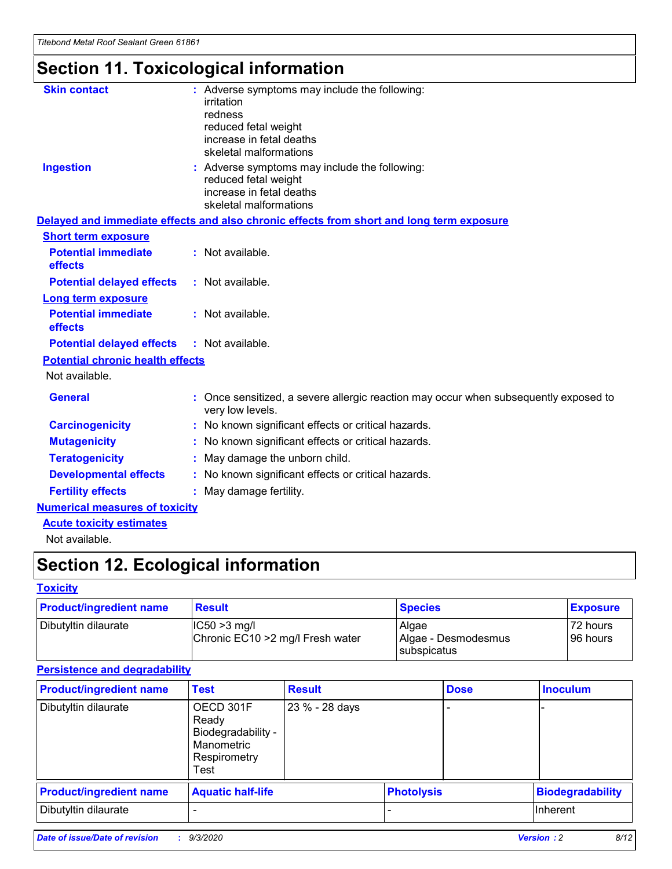# **Section 11. Toxicological information**

| <b>Skin contact</b>                     | : Adverse symptoms may include the following:                                                                               |  |
|-----------------------------------------|-----------------------------------------------------------------------------------------------------------------------------|--|
|                                         | irritation                                                                                                                  |  |
|                                         | redness<br>reduced fetal weight                                                                                             |  |
|                                         | increase in fetal deaths                                                                                                    |  |
|                                         | skeletal malformations                                                                                                      |  |
| <b>Ingestion</b>                        | : Adverse symptoms may include the following:<br>reduced fetal weight<br>increase in fetal deaths<br>skeletal malformations |  |
|                                         | Delayed and immediate effects and also chronic effects from short and long term exposure                                    |  |
| <b>Short term exposure</b>              |                                                                                                                             |  |
| <b>Potential immediate</b><br>effects   | : Not available.                                                                                                            |  |
| <b>Potential delayed effects</b>        | : Not available.                                                                                                            |  |
| <b>Long term exposure</b>               |                                                                                                                             |  |
| <b>Potential immediate</b><br>effects   | : Not available.                                                                                                            |  |
| <b>Potential delayed effects</b>        | : Not available.                                                                                                            |  |
| <b>Potential chronic health effects</b> |                                                                                                                             |  |
| Not available.                          |                                                                                                                             |  |
| <b>General</b>                          | : Once sensitized, a severe allergic reaction may occur when subsequently exposed to<br>very low levels.                    |  |
| <b>Carcinogenicity</b>                  | : No known significant effects or critical hazards.                                                                         |  |
| <b>Mutagenicity</b>                     | : No known significant effects or critical hazards.                                                                         |  |
| <b>Teratogenicity</b>                   | May damage the unborn child.                                                                                                |  |
| <b>Developmental effects</b>            | : No known significant effects or critical hazards.                                                                         |  |
| <b>Fertility effects</b>                | May damage fertility.                                                                                                       |  |
| <b>Numerical measures of toxicity</b>   |                                                                                                                             |  |
| <b>Acute toxicity estimates</b>         |                                                                                                                             |  |
| الملحلة والمستحقق فالمرابط              |                                                                                                                             |  |

Not available.

# **Section 12. Ecological information**

#### **Toxicity**

| <b>Product/ingredient name</b> | <b>Result</b>                                       | <b>Species</b>               | <b>Exposure</b>       |
|--------------------------------|-----------------------------------------------------|------------------------------|-----------------------|
| Dibutyltin dilaurate           | $ CC50>3$ mg/l<br>Chronic EC10 > 2 mg/l Fresh water | Algae<br>Algae - Desmodesmus | 72 hours<br>196 hours |
|                                |                                                     | <b>I</b> subspicatus         |                       |

#### **Persistence and degradability**

| <b>Product/ingredient name</b> | <b>Test</b>                                                                    | <b>Result</b>  |                   | <b>Dose</b> | <b>Inoculum</b>         |
|--------------------------------|--------------------------------------------------------------------------------|----------------|-------------------|-------------|-------------------------|
| Dibutyltin dilaurate           | OECD 301F<br>Ready<br>Biodegradability -<br>Manometric<br>Respirometry<br>Test | 23 % - 28 days |                   |             |                         |
| <b>Product/ingredient name</b> | <b>Aquatic half-life</b>                                                       |                | <b>Photolysis</b> |             | <b>Biodegradability</b> |
| Dibutyltin dilaurate           |                                                                                |                |                   |             | <b>Inherent</b>         |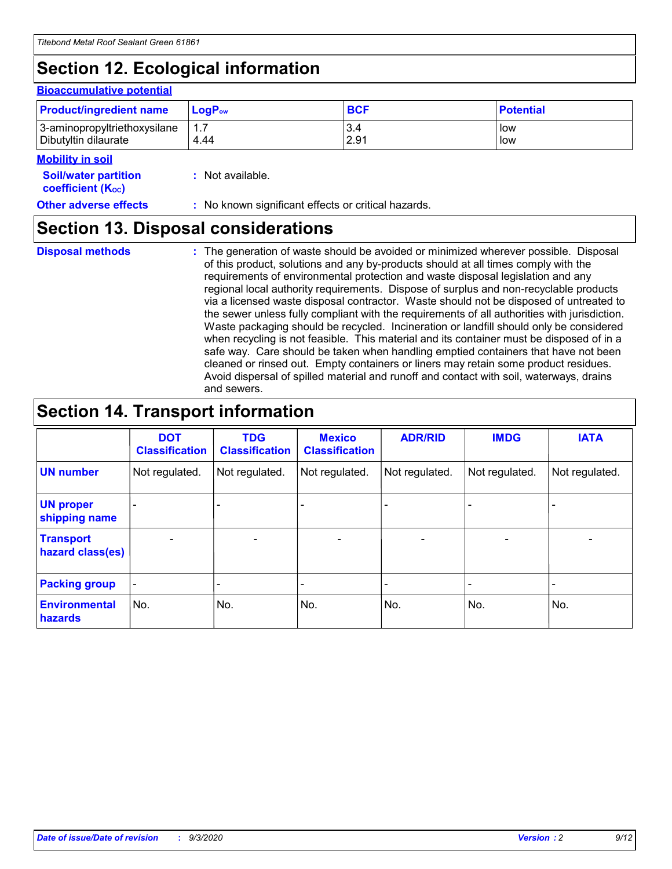# **Section 12. Ecological information**

#### **Bioaccumulative potential**

| <b>Product/ingredient name</b> | <b>LogP</b> <sub>ow</sub> | <b>BCF</b> | <b>Potential</b> |
|--------------------------------|---------------------------|------------|------------------|
| 3-aminopropyltriethoxysilane   | 4.44                      | 3.4        | low              |
| Dibutyltin dilaurate           |                           | 2.91       | low              |

#### **Soil/water Mobility in soil**

| <b>Soil/water partition</b> | : Not available. |
|-----------------------------|------------------|
| <b>coefficient (Koc)</b>    |                  |

| <b>Other adverse effects</b> | : No known significant effects or critical hazards. |
|------------------------------|-----------------------------------------------------|
|------------------------------|-----------------------------------------------------|

### **Section 13. Disposal considerations**

**Disposal methods :**

The generation of waste should be avoided or minimized wherever possible. Disposal of this product, solutions and any by-products should at all times comply with the requirements of environmental protection and waste disposal legislation and any regional local authority requirements. Dispose of surplus and non-recyclable products via a licensed waste disposal contractor. Waste should not be disposed of untreated to the sewer unless fully compliant with the requirements of all authorities with jurisdiction. Waste packaging should be recycled. Incineration or landfill should only be considered when recycling is not feasible. This material and its container must be disposed of in a safe way. Care should be taken when handling emptied containers that have not been cleaned or rinsed out. Empty containers or liners may retain some product residues. Avoid dispersal of spilled material and runoff and contact with soil, waterways, drains and sewers.

### **Section 14. Transport information**

|                                      | <b>DOT</b><br><b>Classification</b> | <b>TDG</b><br><b>Classification</b> | <b>Mexico</b><br><b>Classification</b> | <b>ADR/RID</b>           | <b>IMDG</b>              | <b>IATA</b>    |
|--------------------------------------|-------------------------------------|-------------------------------------|----------------------------------------|--------------------------|--------------------------|----------------|
| <b>UN number</b>                     | Not regulated.                      | Not regulated.                      | Not regulated.                         | Not regulated.           | Not regulated.           | Not regulated. |
| <b>UN proper</b><br>shipping name    |                                     |                                     |                                        |                          |                          |                |
| <b>Transport</b><br>hazard class(es) |                                     | $\overline{\phantom{0}}$            | $\qquad \qquad \blacksquare$           | $\overline{\phantom{0}}$ | $\overline{\phantom{0}}$ |                |
| <b>Packing group</b>                 |                                     |                                     |                                        |                          |                          |                |
| <b>Environmental</b><br>hazards      | No.                                 | No.                                 | No.                                    | No.                      | No.                      | No.            |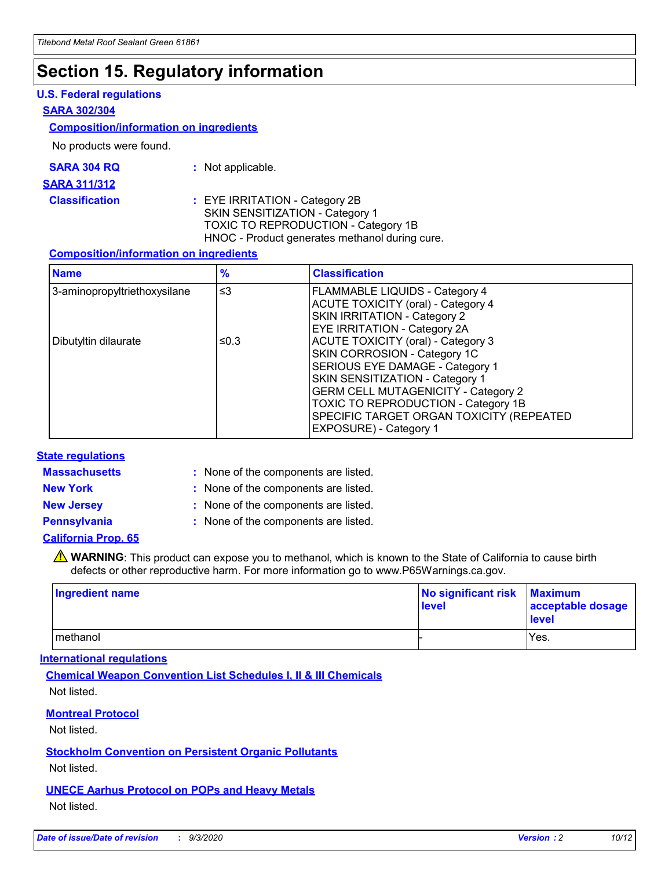### **Section 15. Regulatory information**

#### **U.S. Federal regulations**

#### **SARA 302/304**

#### **Composition/information on ingredients**

No products were found.

| SARA 304 RQ | Not applicable. |
|-------------|-----------------|
|-------------|-----------------|

#### **SARA 311/312**

#### **Classification :** EYE IRRITATION - Category 2B SKIN SENSITIZATION - Category 1 TOXIC TO REPRODUCTION - Category 1B HNOC - Product generates methanol during cure.

#### **Composition/information on ingredients**

| <b>Name</b>                  | $\frac{9}{6}$ | <b>Classification</b>                                                                                                                                                                                                                                                                                      |
|------------------------------|---------------|------------------------------------------------------------------------------------------------------------------------------------------------------------------------------------------------------------------------------------------------------------------------------------------------------------|
| 3-aminopropyltriethoxysilane | $\leq$ 3      | <b>FLAMMABLE LIQUIDS - Category 4</b><br><b>ACUTE TOXICITY (oral) - Category 4</b><br><b>SKIN IRRITATION - Category 2</b><br>EYE IRRITATION - Category 2A                                                                                                                                                  |
| Dibutyltin dilaurate         | ≤0.3          | <b>ACUTE TOXICITY (oral) - Category 3</b><br>SKIN CORROSION - Category 1C<br>SERIOUS EYE DAMAGE - Category 1<br>SKIN SENSITIZATION - Category 1<br><b>GERM CELL MUTAGENICITY - Category 2</b><br>TOXIC TO REPRODUCTION - Category 1B<br>SPECIFIC TARGET ORGAN TOXICITY (REPEATED<br>EXPOSURE) - Category 1 |

#### **State regulations**

**Massachusetts :**

: None of the components are listed.

**New York :** None of the components are listed. **New Jersey :** None of the components are listed.

**Pennsylvania :** None of the components are listed.

#### **California Prop. 65**

WARNING: This product can expose you to methanol, which is known to the State of California to cause birth defects or other reproductive harm. For more information go to www.P65Warnings.ca.gov.

| Ingredient name | No significant risk<br>level | <b>Maximum</b><br>acceptable dosage<br><b>level</b> |
|-----------------|------------------------------|-----------------------------------------------------|
| l methanol      |                              | Yes.                                                |

#### **International regulations**

**Chemical Weapon Convention List Schedules I, II & III Chemicals** Not listed.

#### **Montreal Protocol**

Not listed.

**Stockholm Convention on Persistent Organic Pollutants**

Not listed.

#### **UNECE Aarhus Protocol on POPs and Heavy Metals** Not listed.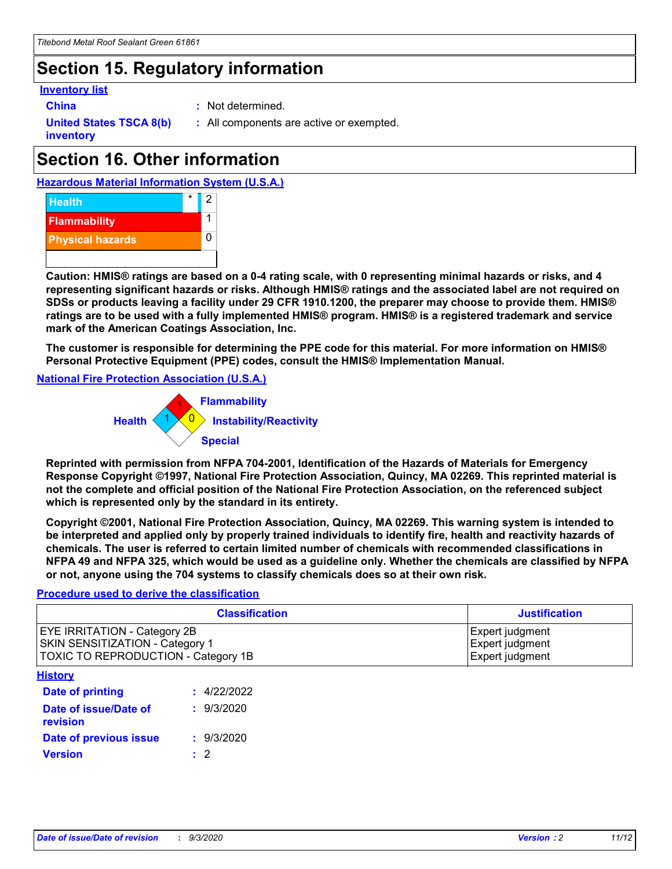## **Section 15. Regulatory information**

#### **Inventory list**

- 
- **China :** Not determined.

**United States TSCA 8(b) inventory**

**:** All components are active or exempted.

# **Section 16. Other information**





**Caution: HMIS® ratings are based on a 0-4 rating scale, with 0 representing minimal hazards or risks, and 4 representing significant hazards or risks. Although HMIS® ratings and the associated label are not required on SDSs or products leaving a facility under 29 CFR 1910.1200, the preparer may choose to provide them. HMIS® ratings are to be used with a fully implemented HMIS® program. HMIS® is a registered trademark and service mark of the American Coatings Association, Inc.**

**The customer is responsible for determining the PPE code for this material. For more information on HMIS® Personal Protective Equipment (PPE) codes, consult the HMIS® Implementation Manual.**

**National Fire Protection Association (U.S.A.)**



**Reprinted with permission from NFPA 704-2001, Identification of the Hazards of Materials for Emergency Response Copyright ©1997, National Fire Protection Association, Quincy, MA 02269. This reprinted material is not the complete and official position of the National Fire Protection Association, on the referenced subject which is represented only by the standard in its entirety.**

**Copyright ©2001, National Fire Protection Association, Quincy, MA 02269. This warning system is intended to be interpreted and applied only by properly trained individuals to identify fire, health and reactivity hazards of chemicals. The user is referred to certain limited number of chemicals with recommended classifications in NFPA 49 and NFPA 325, which would be used as a guideline only. Whether the chemicals are classified by NFPA or not, anyone using the 704 systems to classify chemicals does so at their own risk.**

#### **Procedure used to derive the classification**

| <b>Classification</b>                                                                                         | <b>Justification</b>                                  |
|---------------------------------------------------------------------------------------------------------------|-------------------------------------------------------|
| <b>EYE IRRITATION - Category 2B</b><br>SKIN SENSITIZATION - Category 1<br>TOXIC TO REPRODUCTION - Category 1B | Expert judgment<br>Expert judgment<br>Expert judgment |
| <b>History</b>                                                                                                |                                                       |

| .                                 |             |
|-----------------------------------|-------------|
| <b>Date of printing</b>           | : 4/22/2022 |
| Date of issue/Date of<br>revision | : 9/3/2020  |
| Date of previous issue            | : 9/3/2020  |
| <b>Version</b>                    | $\cdot$ 2   |
|                                   |             |